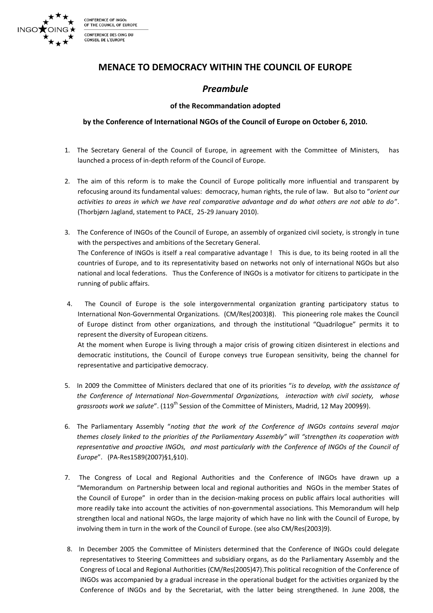

CONFERENCE OF INGO THE COUNCIL OF EUROPE CONFERENCE DES OING DU CONSEIL DE L'EUROPE

## **MENACE TO DEMOCRACY WITHIN THE COUNCIL OF EUROPE**

## *Preambule*

### **of the Recommandation adopted**

### by the Conference of International NGOs of the Council of Europe on October 6, 2010.

- 1. The Secretary General of the Council of Europe, in agreement with the Committee of Ministers, has launched a process of in-depth reform of the Council of Europe.
- 2. The aim of this reform is to make the Council of Europe politically more influential and transparent by refocusing around its fundamental values: democracy, human rights, the rule of law. But also to "orient our *activities to areas in which we have real comparative advantage and do what others are not able to do*". (Thorbjørn Jagland, statement to PACE, 25-29 January 2010).
- 3. The Conference of INGOs of the Council of Europe, an assembly of organized civil society, is strongly in tune with the perspectives and ambitions of the Secretary General. The Conference of INGOs is itself a real comparative advantage ! This is due, to its being rooted in all the countries of Europe, and to its representativity based on networks not only of international NGOs but also national and local federations. Thus the Conference of INGOs is a motivator for citizens to participate in the running of public affairs.
- 4. The Council of Europe is the sole intergovernmental organization granting participatory status to International Non-Governmental Organizations. (CM/Res(2003)8). This pioneering role makes the Council of Europe distinct from other organizations, and through the institutional "Quadrilogue" permits it to represent the diversity of European citizens.

At the moment when Europe is living through a major crisis of growing citizen disinterest in elections and democratic institutions, the Council of Europe conveys true European sensitivity, being the channel for representative and participative democracy.

- 5. In 2009 the Committee of Ministers declared that one of its priorities "*is to develop, with the assistance of the' Conference' of' International' Non:Governmental' Organizations,' ' interaction' with' civil' society,' ' whose' grassroots work we salute*". (119<sup>th</sup> Session of the Committee of Ministers, Madrid, 12 May 2009§9).
- 6. The Parliamentary Assembly "noting that the work of the Conference of INGOs contains several major *themes closely linked to the priorities of the Parliamentary Assembly" will "strengthen its cooperation with representative'and'proactive'INGOs,''and'most'particularly'with' the'Conference'of'INGOs'of' the'Council'of' Europe*". (PA-Res1589(2007)§1,§10).
- 7. The Congress of Local and Regional Authorities and the Conference of INGOs have drawn up a "Memorandum on Partnership between local and regional authorities and NGOs in the member States of the Council of Europe" in order than in the decision-making process on public affairs local authorities will more readily take into account the activities of non-governmental associations. This Memorandum will help strengthen local and national NGOs, the large majority of which have no link with the Council of Europe, by involving them in turn in the work of the Council of Europe. (see also CM/Res(2003)9).
- 8. In December 2005 the Committee of Ministers determined that the Conference of INGOs could delegate representatives to Steering Committees and subsidiary organs, as do the Parliamentary Assembly and the Congress of Local and Regional Authorities (CM/Res(2005)47). This political recognition of the Conference of INGOs was accompanied by a gradual increase in the operational budget for the activities organized by the Conference of INGOs and by the Secretariat, with the latter being strengthened. In June 2008, the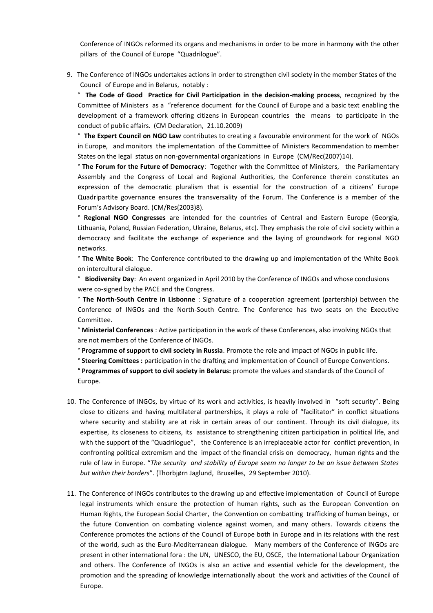Conference of INGOs reformed its organs and mechanisms in order to be more in harmony with the other pillars of the Council of Europe "Quadrilogue".

9. The Conference of INGOs undertakes actions in order to strengthen civil society in the member States of the Council of Europe and in Belarus, notably :

<sup>o</sup> The Code of Good Practice for Civil Participation in the decision-making process, recognized by the Committee of Ministers as a "reference document for the Council of Europe and a basic text enabling the development of a framework offering citizens in European countries the means to participate in the conduct of public affairs. (CM Declaration, 21.10.2009)

<sup>o</sup> The Expert Council on NGO Law contributes to creating a favourable environment for the work of NGOs in Europe, and monitors the implementation of the Committee of Ministers Recommendation to member States on the legal status on non-governmental organizations in Europe (CM/Rec(2007)14).

<sup>o</sup> The Forum for the Future of Democracy: Together with the Committee of Ministers, the Parliamentary Assembly and the Congress of Local and Regional Authorities, the Conference therein constitutes an expression of the democratic pluralism that is essential for the construction of a citizens' Europe Quadripartite governance ensures the transversality of the Forum. The Conference is a member of the Forum's Advisory Board. (CM/Res(2003)8).

<sup>o</sup> Regional NGO Congresses are intended for the countries of Central and Eastern Europe (Georgia, Lithuania, Poland, Russian Federation, Ukraine, Belarus, etc). They emphasis the role of civil society within a democracy and facilitate the exchange of experience and the laying of groundwork for regional NGO networks.

<sup>o</sup> The White Book: The Conference contributed to the drawing up and implementation of the White Book on intercultural dialogue.

<sup>o</sup> Biodiversity Day: An event organized in April 2010 by the Conference of INGOs and whose conclusions were co-signed by the PACE and the Congress.

<sup>o</sup> The North-South Centre in Lisbonne : Signature of a cooperation agreement (partership) between the Conference of INGOs and the North-South Centre. The Conference has two seats on the Executive Committee.

<sup>o</sup> Ministerial Conferences : Active participation in the work of these Conferences, also involving NGOs that are not members of the Conference of INGOs.

<sup>o</sup> Programme of support to civil society in Russia. Promote the role and impact of NGOs in public life.

<sup>o</sup> Steering Comittees : participation in the drafting and implementation of Council of Europe Conventions.

**Programmes of support to civil society in Belarus:** promote the values and standards of the Council of Europe.

- 10. The Conference of INGOs, by virtue of its work and activities, is heavily involved in "soft security". Being close to citizens and having multilateral partnerships, it plays a role of "facilitator" in conflict situations where security and stability are at risk in certain areas of our continent. Through its civil dialogue, its expertise, its closeness to citizens, its assistance to strengthening citizen participation in political life, and with the support of the "Quadrilogue", the Conference is an irreplaceable actor for conflict prevention, in confronting political extremism and the impact of the financial crisis on democracy, human rights and the rule of law in Europe. "The security and stability of Europe seem no longer to be an issue between States' but within their borders". (Thorbjørn Jaglund, Bruxelles, 29 September 2010).
- 11. The Conference of INGOs contributes to the drawing up and effective implementation of Council of Europe legal instruments which ensure the protection of human rights, such as the European Convention on Human Rights, the European Social Charter, the Convention on combatting trafficking of human beings, or the future Convention on combating violence against women, and many others. Towards citizens the Conference promotes the actions of the Council of Europe both in Europe and in its relations with the rest of the world, such as the Euro-Mediterranean dialogue. Many members of the Conference of INGOs are present in other international fora: the UN, UNESCO, the EU, OSCE, the International Labour Organization and others. The Conference of INGOs is also an active and essential vehicle for the development, the promotion and the spreading of knowledge internationally about the work and activities of the Council of Europe.